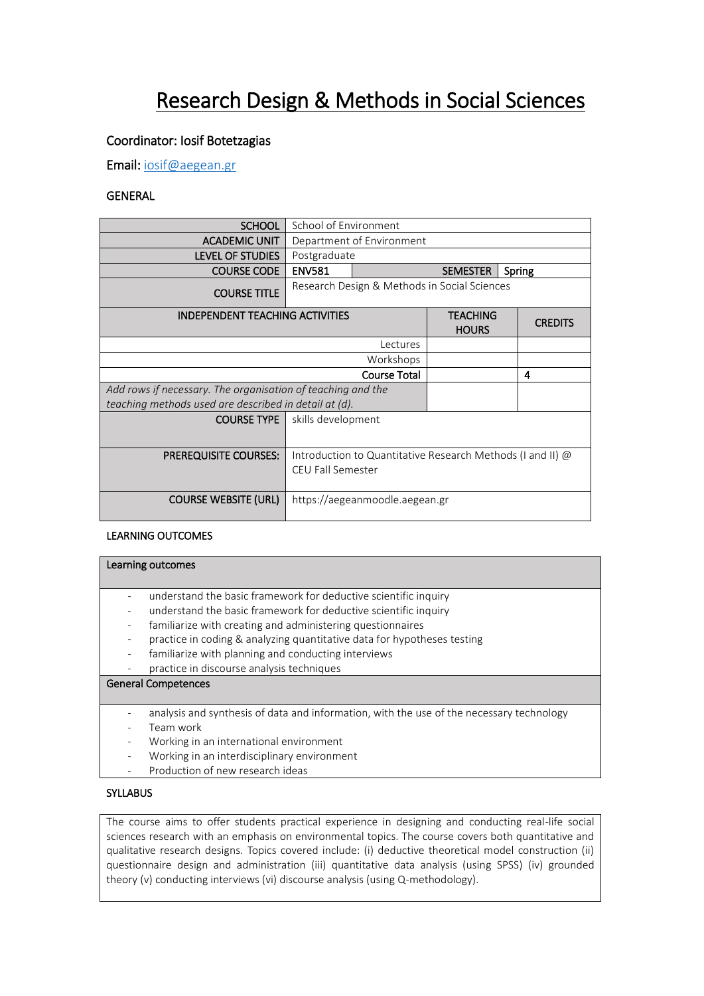# Research Design & Methods in Social Sciences

# Coordinator: Iosif Botetzagias

Email[: iosif@aegean.gr](mailto:iosif@aegean.gr)

## GENERAL

| <b>SCHOOL</b>                                               | School of Environment                                                                  |                                 |                |  |
|-------------------------------------------------------------|----------------------------------------------------------------------------------------|---------------------------------|----------------|--|
| <b>ACADEMIC UNIT</b>                                        | Department of Environment                                                              |                                 |                |  |
| LEVEL OF STUDIES                                            | Postgraduate                                                                           |                                 |                |  |
| <b>COURSE CODE</b>                                          | <b>ENV581</b>                                                                          | <b>SEMESTER</b><br>Spring       |                |  |
| <b>COURSE TITLE</b>                                         | Research Design & Methods in Social Sciences                                           |                                 |                |  |
| <b>INDEPENDENT TEACHING ACTIVITIES</b>                      |                                                                                        | <b>TEACHING</b><br><b>HOURS</b> | <b>CREDITS</b> |  |
| Lectures                                                    |                                                                                        |                                 |                |  |
| Workshops                                                   |                                                                                        |                                 |                |  |
| <b>Course Total</b>                                         |                                                                                        |                                 | 4              |  |
| Add rows if necessary. The organisation of teaching and the |                                                                                        |                                 |                |  |
| teaching methods used are described in detail at (d).       |                                                                                        |                                 |                |  |
| <b>COURSE TYPE</b>                                          | skills development                                                                     |                                 |                |  |
| <b>PREREQUISITE COURSES:</b>                                | Introduction to Quantitative Research Methods (I and II) @<br><b>CEU Fall Semester</b> |                                 |                |  |
| <b>COURSE WEBSITE (URL)</b>                                 | https://aegeanmoodle.aegean.gr                                                         |                                 |                |  |

#### LEARNING OUTCOMES

|                          | Learning outcomes                                                                        |
|--------------------------|------------------------------------------------------------------------------------------|
|                          |                                                                                          |
|                          |                                                                                          |
|                          | understand the basic framework for deductive scientific inquiry                          |
|                          | understand the basic framework for deductive scientific inquiry                          |
| $\overline{\phantom{a}}$ | familiarize with creating and administering questionnaires                               |
|                          | practice in coding & analyzing quantitative data for hypotheses testing                  |
| $\overline{\phantom{a}}$ | familiarize with planning and conducting interviews                                      |
|                          | practice in discourse analysis techniques                                                |
|                          | <b>General Competences</b>                                                               |
|                          |                                                                                          |
|                          | analysis and synthesis of data and information, with the use of the necessary technology |
|                          | Team work                                                                                |
|                          | Working in an international environment                                                  |

- Working in an international environment
- Working in an interdisciplinary environment
- Production of new research ideas

#### **SYLLABUS**

The course aims to offer students practical experience in designing and conducting real-life social sciences research with an emphasis on environmental topics. The course covers both quantitative and qualitative research designs. Topics covered include: (i) deductive theoretical model construction (ii) questionnaire design and administration (iii) quantitative data analysis (using SPSS) (iv) grounded theory (v) conducting interviews (vi) discourse analysis (using Q-methodology).